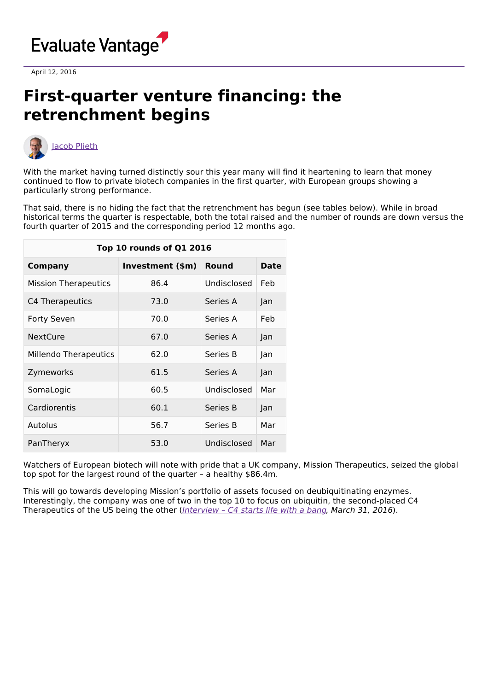

April 12, 2016

## **First-quarter venture financing: the retrenchment begins**



With the market having turned distinctly sour this year many will find it heartening to learn that money continued to flow to private biotech companies in the first quarter, with European groups showing a particularly strong performance.

That said, there is no hiding the fact that the retrenchment has begun (see tables below). While in broad historical terms the quarter is respectable, both the total raised and the number of rounds are down versus the fourth quarter of 2015 and the corresponding period 12 months ago.

| Top 10 rounds of Q1 2016 |                  |             |      |  |  |  |
|--------------------------|------------------|-------------|------|--|--|--|
| <b>Company</b>           | Investment (\$m) | Round       | Date |  |  |  |
| Mission Therapeutics     | 86.4             | Undisclosed | Feb  |  |  |  |
| C4 Therapeutics          | 73.0             | Series A    | Jan  |  |  |  |
| <b>Forty Seven</b>       | 70.0             | Series A    | Feb  |  |  |  |
| <b>NextCure</b>          | 67.0             | Series A    | Jan  |  |  |  |
| Millendo Therapeutics    | 62.0             | Series B    | Jan  |  |  |  |
| Zymeworks                | 61.5             | Series A    | Jan  |  |  |  |
| SomaLogic                | 60.5             | Undisclosed | Mar  |  |  |  |
| Cardiorentis             | 60.1             | Series B    | Jan  |  |  |  |
| Autolus                  | 56.7             | Series B    | Mar  |  |  |  |
| PanTheryx                | 53.0             | Undisclosed | Mar  |  |  |  |

Watchers of European biotech will note with pride that a UK company, Mission Therapeutics, seized the global top spot for the largest round of the quarter – a healthy \$86.4m.

This will go towards developing Mission's portfolio of assets focused on deubiquitinating enzymes. Interestingly, the company was one of two in the top 10 to focus on ubiquitin, the second-placed C4 Therapeutics of the US being the other ([Interview](http://epvantage.com/Universal/View.aspx?type=Story&id=630273&isEPVantage=yes) - C4 starts life with a bang, March 31, 2016).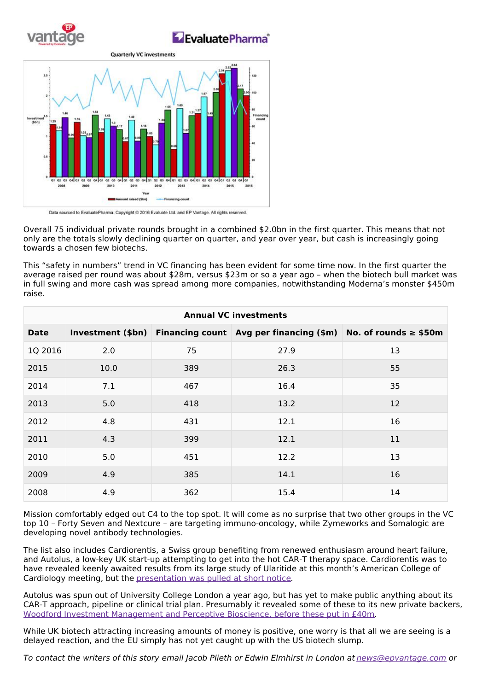

EvaluatePharma®



Data sourced to EvaluatePharma. Copyright @ 2016 Evaluate Ltd. and EP Vantage. All rights reserved.

Overall 75 individual private rounds brought in a combined \$2.0bn in the first quarter. This means that not only are the totals slowly declining quarter on quarter, and year over year, but cash is increasingly going towards a chosen few biotechs.

This "safety in numbers" trend in VC financing has been evident for some time now. In the first quarter the average raised per round was about \$28m, versus \$23m or so a year ago – when the biotech bull market was in full swing and more cash was spread among more companies, notwithstanding Moderna's monster \$450m raise.

| <b>Annual VC investments</b> |      |     |                                                                                     |    |  |  |
|------------------------------|------|-----|-------------------------------------------------------------------------------------|----|--|--|
| <b>Date</b>                  |      |     | Investment (\$bn) Financing count Avg per financing (\$m) No. of rounds $\ge$ \$50m |    |  |  |
| 1Q 2016                      | 2.0  | 75  | 27.9                                                                                | 13 |  |  |
| 2015                         | 10.0 | 389 | 26.3                                                                                | 55 |  |  |
| 2014                         | 7.1  | 467 | 16.4                                                                                | 35 |  |  |
| 2013                         | 5.0  | 418 | 13.2                                                                                | 12 |  |  |
| 2012                         | 4.8  | 431 | 12.1                                                                                | 16 |  |  |
| 2011                         | 4.3  | 399 | 12.1                                                                                | 11 |  |  |
| 2010                         | 5.0  | 451 | 12.2                                                                                | 13 |  |  |
| 2009                         | 4.9  | 385 | 14.1                                                                                | 16 |  |  |
| 2008                         | 4.9  | 362 | 15.4                                                                                | 14 |  |  |

Mission comfortably edged out C4 to the top spot. It will come as no surprise that two other groups in the VC top 10 – Forty Seven and Nextcure – are targeting immuno-oncology, while Zymeworks and Somalogic are developing novel antibody technologies.

The list also includes Cardiorentis, a Swiss group benefiting from renewed enthusiasm around heart failure, and Autolus, a low-key UK start-up attempting to get into the hot CAR-T therapy space. Cardiorentis was to have revealed keenly awaited results from its large study of Ularitide at this month's American College of Cardiology meeting, but the [presentation](http://www.bloomberg.com/news/articles/2016-04-01/cardiorentis-heart-failure-study-pulled-from-cardiology-meeting) was pulled at short notice.

Autolus was spun out of University College London a year ago, but has yet to make public anything about its CAR-T approach, pipeline or clinical trial plan. Presumably it revealed some of these to its new private backers, Woodford Investment [Management](http://www.autolus.com/autolus-limited-secures-40-million-funding-woodford-investment-management-and-perceptive-bioscience-complete-series-b-financing/) and Perceptive Bioscience, before these put in £40m.

While UK biotech attracting increasing amounts of money is positive, one worry is that all we are seeing is a delayed reaction, and the EU simply has not yet caught up with the US biotech slump.

To contact the writers of this story email Jacob Plieth or Edwin Elmhirst in London at [news@epvantage.com](mailto:news@epvantage.com) or